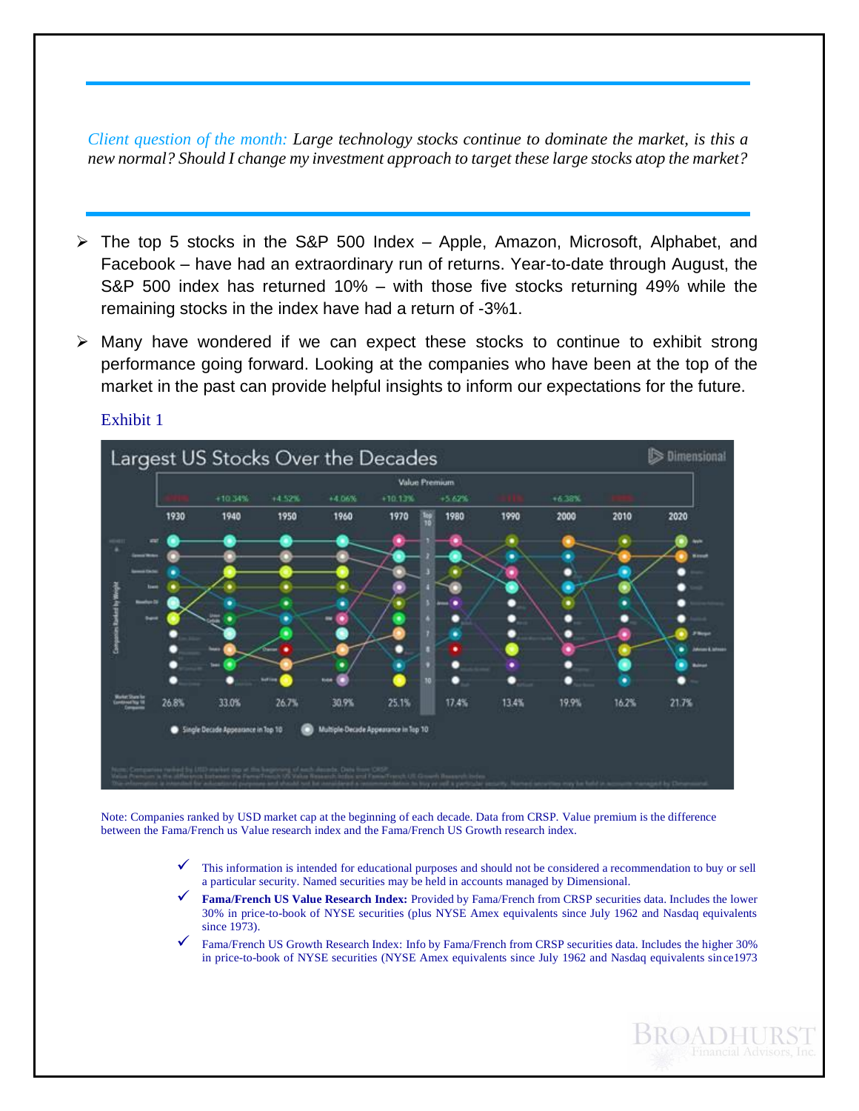*Client question of the month: Large technology stocks continue to dominate the market, is this a new normal? Should I change my investment approach to target these large stocks atop the market?*

- ➢ The top 5 stocks in the S&P 500 Index Apple, Amazon, Microsoft, Alphabet, and Facebook – have had an extraordinary run of returns. Year-to-date through August, the S&P 500 index has returned 10% – with those five stocks returning 49% while the remaining stocks in the index have had a return of -3%1.
- $\triangleright$  Many have wondered if we can expect these stocks to continue to exhibit strong performance going forward. Looking at the companies who have been at the top of the market in the past can provide helpful insights to inform our expectations for the future.



### Exhibit 1

Note: Companies ranked by USD market cap at the beginning of each decade. Data from CRSP. Value premium is the difference between the Fama/French us Value research index and the Fama/French US Growth research index.

- ✓ This information is intended for educational purposes and should not be considered a recommendation to buy or sell a particular security. Named securities may be held in accounts managed by Dimensional.
- Fama/French US Value Research Index: Provided by Fama/French from CRSP securities data. Includes the lower 30% in price-to-book of NYSE securities (plus NYSE Amex equivalents since July 1962 and Nasdaq equivalents since 1973).
- Fama/French US Growth Research Index: Info by Fama/French from CRSP securities data. Includes the higher 30% in price-to-book of NYSE securities (NYSE Amex equivalents since July 1962 and Nasdaq equivalents since1973

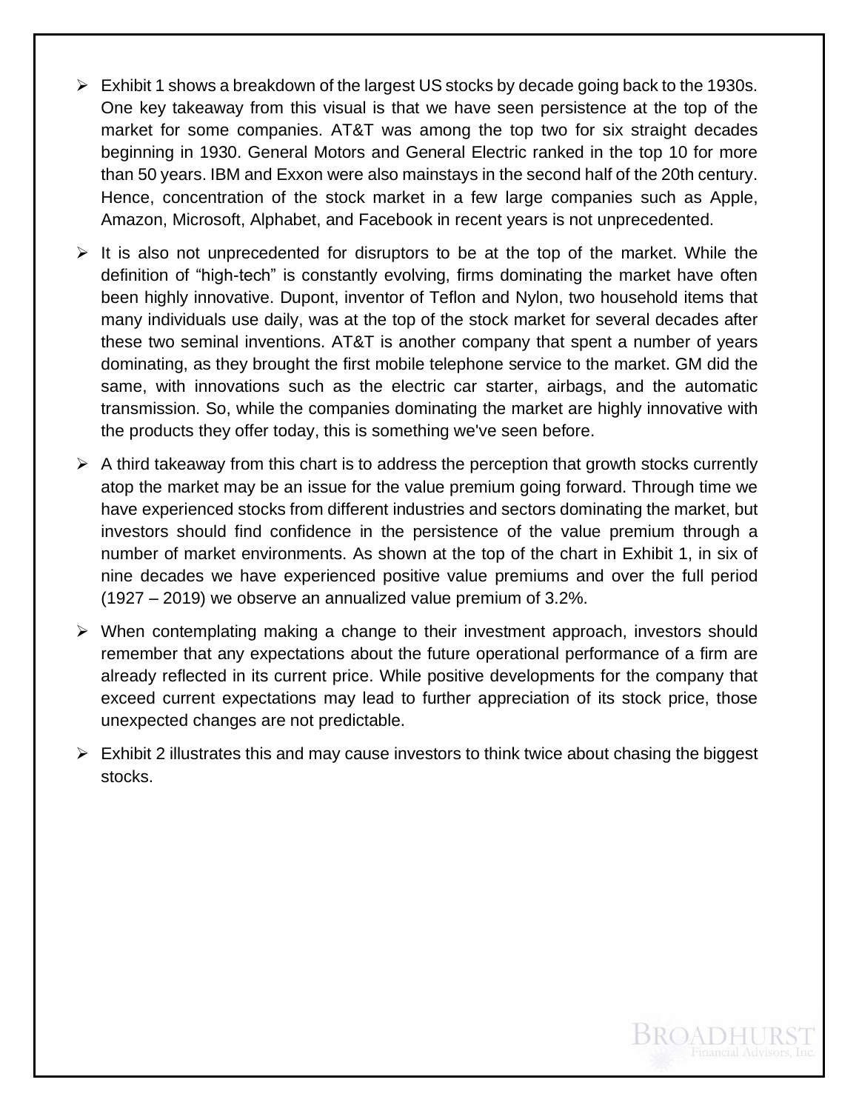- ➢ Exhibit 1 shows a breakdown of the largest US stocks by decade going back to the 1930s. One key takeaway from this visual is that we have seen persistence at the top of the market for some companies. AT&T was among the top two for six straight decades beginning in 1930. General Motors and General Electric ranked in the top 10 for more than 50 years. IBM and Exxon were also mainstays in the second half of the 20th century. Hence, concentration of the stock market in a few large companies such as Apple, Amazon, Microsoft, Alphabet, and Facebook in recent years is not unprecedented.
- $\triangleright$  It is also not unprecedented for disruptors to be at the top of the market. While the definition of "high-tech" is constantly evolving, firms dominating the market have often been highly innovative. Dupont, inventor of Teflon and Nylon, two household items that many individuals use daily, was at the top of the stock market for several decades after these two seminal inventions. AT&T is another company that spent a number of years dominating, as they brought the first mobile telephone service to the market. GM did the same, with innovations such as the electric car starter, airbags, and the automatic transmission. So, while the companies dominating the market are highly innovative with the products they offer today, this is something we've seen before.
- $\triangleright$  A third takeaway from this chart is to address the perception that growth stocks currently atop the market may be an issue for the value premium going forward. Through time we have experienced stocks from different industries and sectors dominating the market, but investors should find confidence in the persistence of the value premium through a number of market environments. As shown at the top of the chart in Exhibit 1, in six of nine decades we have experienced positive value premiums and over the full period (1927 – 2019) we observe an annualized value premium of 3.2%.
- ➢ When contemplating making a change to their investment approach, investors should remember that any expectations about the future operational performance of a firm are already reflected in its current price. While positive developments for the company that exceed current expectations may lead to further appreciation of its stock price, those unexpected changes are not predictable.
- $\triangleright$  Exhibit 2 illustrates this and may cause investors to think twice about chasing the biggest stocks.

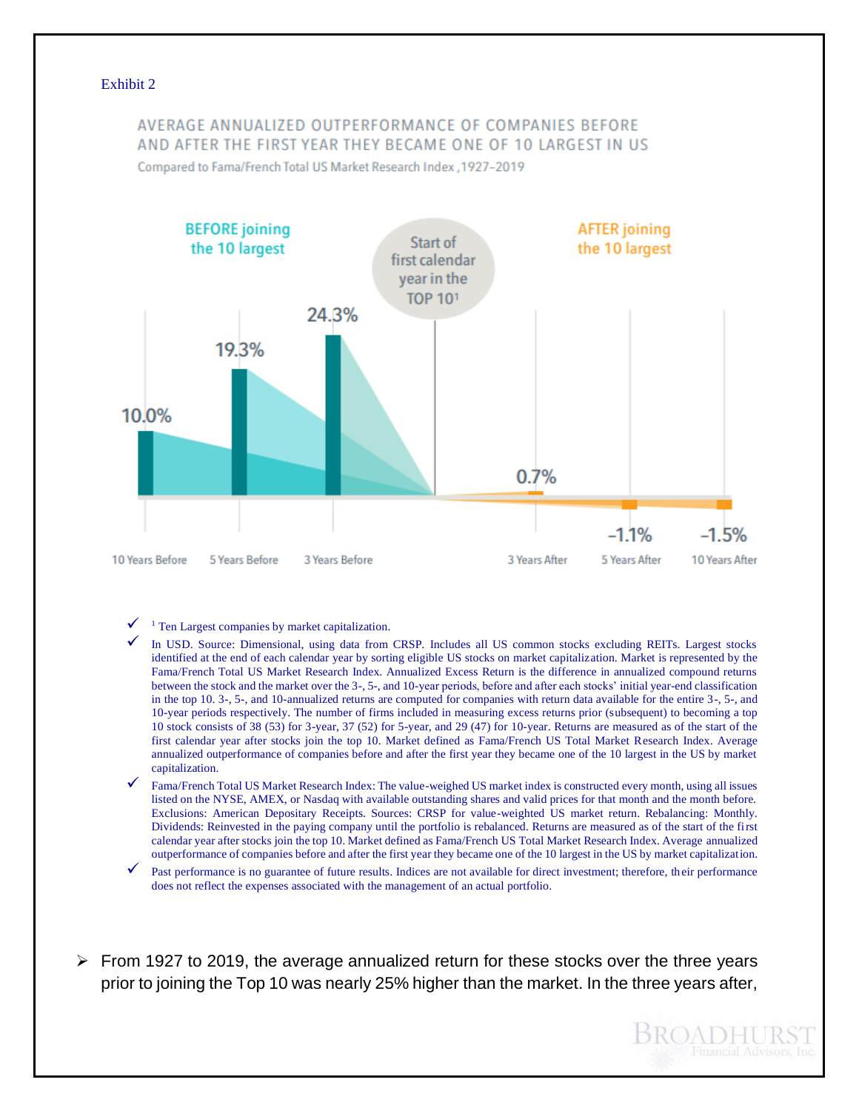### Exhibit 2

## AVERAGE ANNUALIZED OUTPERFORMANCE OF COMPANIES BEFORE AND AFTER THE FIRST YEAR THEY BECAME ONE OF 10 LARGEST IN US

Compared to Fama/French Total US Market Research Index .1927-2019



#### <sup>1</sup> Ten Largest companies by market capitalization.

- In USD. Source: Dimensional, using data from CRSP. Includes all US common stocks excluding REITs. Largest stocks identified at the end of each calendar year by sorting eligible US stocks on market capitalization. Market is represented by the Fama/French Total US Market Research Index. Annualized Excess Return is the difference in annualized compound returns between the stock and the market over the 3-, 5-, and 10-year periods, before and after each stocks' initial year-end classification in the top 10. 3-, 5-, and 10-annualized returns are computed for companies with return data available for the entire 3-, 5-, and 10-year periods respectively. The number of firms included in measuring excess returns prior (subsequent) to becoming a top 10 stock consists of 38 (53) for 3-year, 37 (52) for 5-year, and 29 (47) for 10-year. Returns are measured as of the start of the first calendar year after stocks join the top 10. Market defined as Fama/French US Total Market Research Index. Average annualized outperformance of companies before and after the first year they became one of the 10 largest in the US by market capitalization.
- Fama/French Total US Market Research Index: The value-weighed US market index is constructed every month, using all issues listed on the NYSE, AMEX, or Nasdaq with available outstanding shares and valid prices for that month and the month before. Exclusions: American Depositary Receipts. Sources: CRSP for value-weighted US market return. Rebalancing: Monthly. Dividends: Reinvested in the paying company until the portfolio is rebalanced. Returns are measured as of the start of the first calendar year after stocks join the top 10. Market defined as Fama/French US Total Market Research Index. Average annualized outperformance of companies before and after the first year they became one of the 10 largest in the US by market capitalization.
- Past performance is no guarantee of future results. Indices are not available for direct investment; therefore, their performance does not reflect the expenses associated with the management of an actual portfolio.
- ➢ From 1927 to 2019, the average annualized return for these stocks over the three years prior to joining the Top 10 was nearly 25% higher than the market. In the three years after,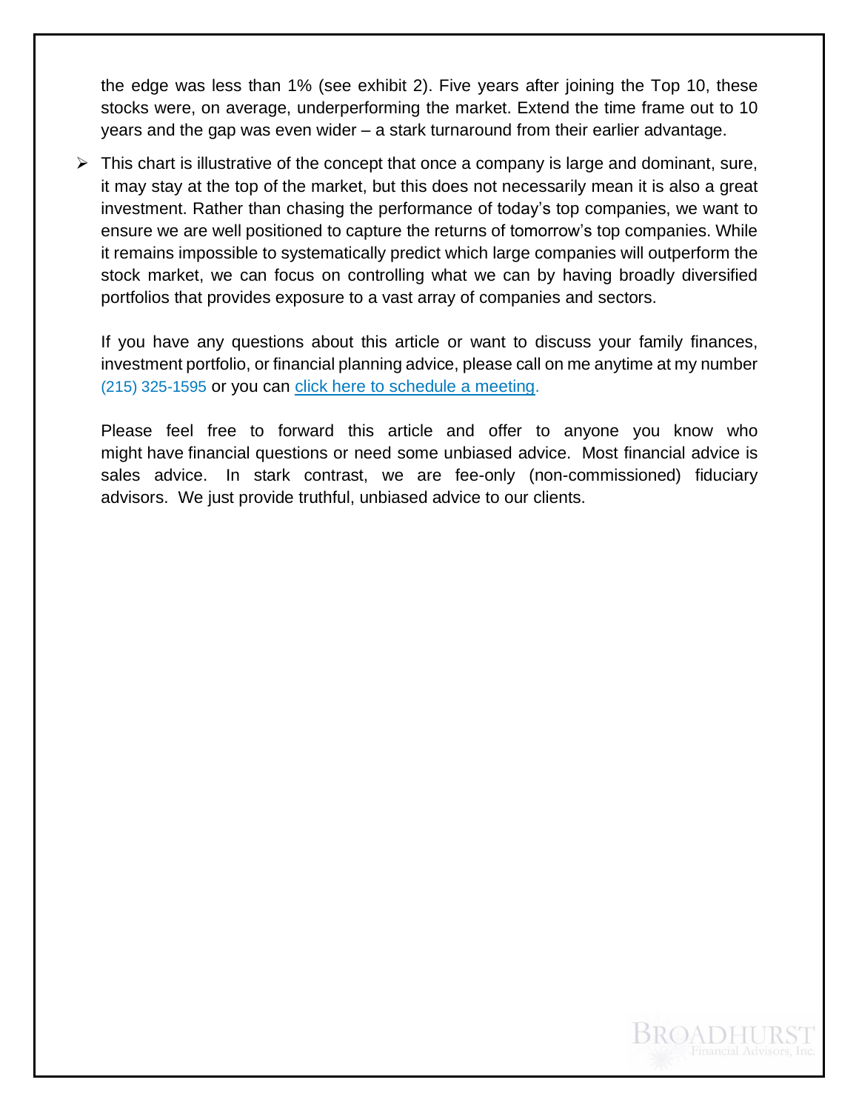the edge was less than 1% (see exhibit 2). Five years after joining the Top 10, these stocks were, on average, underperforming the market. Extend the time frame out to 10 years and the gap was even wider – a stark turnaround from their earlier advantage.

 $\triangleright$  This chart is illustrative of the concept that once a company is large and dominant, sure, it may stay at the top of the market, but this does not necessarily mean it is also a great investment. Rather than chasing the performance of today's top companies, we want to ensure we are well positioned to capture the returns of tomorrow's top companies. While it remains impossible to systematically predict which large companies will outperform the stock market, we can focus on controlling what we can by having broadly diversified portfolios that provides exposure to a vast array of companies and sectors.

If you have any questions about this article or want to discuss your family finances, investment portfolio, or financial planning advice, please call on me anytime at my number (215) 325-1595 or you can click here to [schedule](https://ind01.safelinks.protection.outlook.com/?url=https%3A%2F%2Fgo.oncehub.com%2FJeffreyBroadhurst&data=04%7C01%7Cravi.sai%40valentabpo.com%7Cc2154ae8426e46d5e9c908d87a1bec02%7Ca71df7bb6c2043dab7a846b7a3aaa21f%7C1%7C0%7C637393607660653673%7CUnknown%7CTWFpbGZsb3d8eyJWIjoiMC4wLjAwMDAiLCJQIjoiV2luMzIiLCJBTiI6Ik1haWwiLCJXVCI6Mn0%3D%7C1000&sdata=N26zQRflvyKxXvb7r9Iak0cBuMHFqu12SqyQoZsHzNw%3D&reserved=0) a meeting.

Please feel free to forward this article and offer to anyone you know who might have financial questions or need some unbiased advice. Most financial advice is sales advice. In stark contrast, we are fee-only (non-commissioned) fiduciary advisors. We just provide truthful, unbiased advice to our clients.